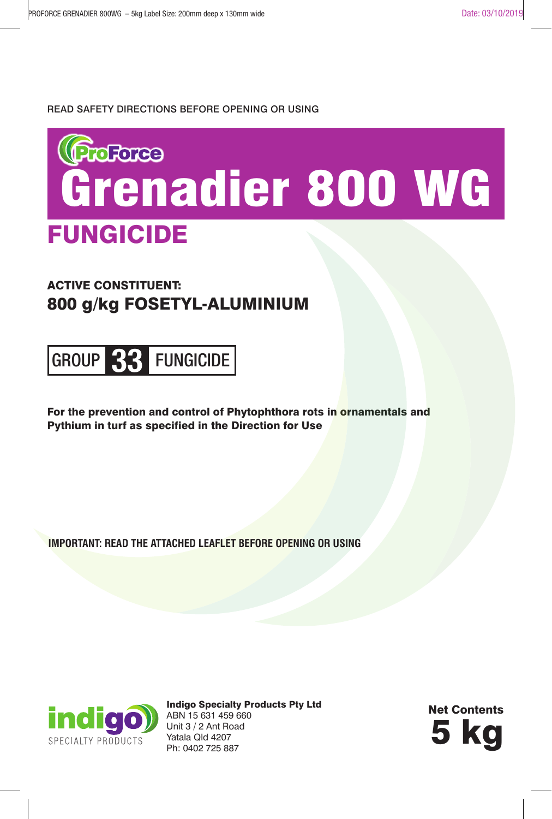#### READ SAFETY DIRECTIONS BEFORE OPENING OR USING



## ACTIVE CONSTITUENT: 800 g/kg FOSETYL-ALUMINIUM



For the prevention and control of Phytophthora rots in ornamentals and Pythium in turf as specified in the Direction for Use

**IMPORTANT: READ THE ATTACHED LEAFLET BEFORE OPENING OR USING**



Indigo Specialty Products Pty Ltd ABN 15 631 459 660 Unit 3 / 2 Ant Road Yatala Qld 4207 Unit 3 / 2 Ant Road<br>Yatala Qld 4207<br>Ph: 0402 725 887

Net Contents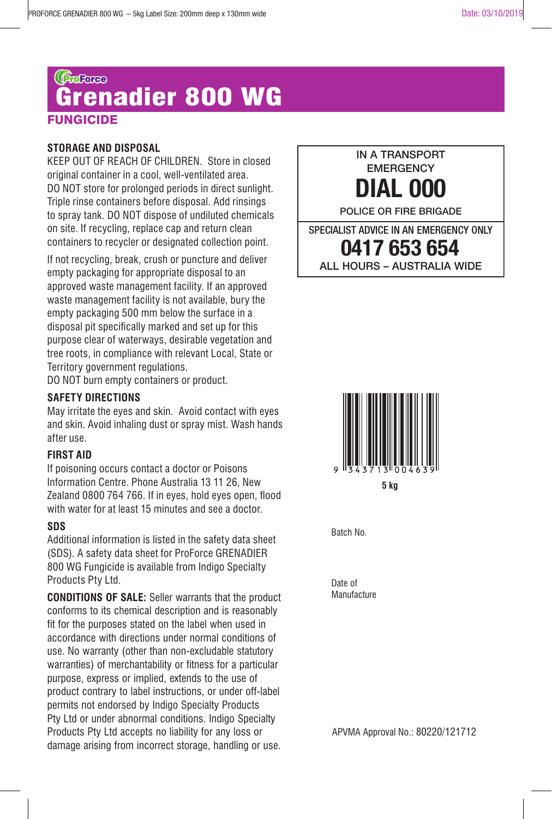# **NGICIDE** Grenadier 800 WG

#### **STORAGE AND DISPOSAL**

KEEP OUT OF REACH OF CHILDREN. Store in closed original container in a cool, well-ventilated area. DO NOT store for prolonged periods in direct sunlight. Triple rinse containers before disposal. Add rinsings to spray tank. DO NOT dispose of undiluted chemicals on site. If recycling, replace cap and return clean containers to recycler or designated collection point.

If not recycling, break, crush or puncture and deliver empty packaging for appropriate disposal to an approved waste management facility. If an approved waste management facility is not available, bury the empty packaging 500 mm below the surface in a disposal pit specifically marked and set up for this purpose clear of waterways, desirable vegetation and tree roots, in compliance with relevant Local, State or Territory government regulations.

DO NOT burn empty containers or product.

#### **SAFETY DIRECTIONS**

May irritate the eyes and skin. Avoid contact with eyes and skin. Avoid inhaling dust or spray mist. Wash hands after use.

#### **FIRST AID**

If poisoning occurs contact a doctor or Poisons Information Centre. Phone Australia 13 11 26, New Zealand 0800 764 766. If in eyes, hold eyes open, flood with water for at least 15 minutes and see a doctor.

#### **SDS**

Additional information is listed in the safety data sheet (SDS). A safety data sheet for ProForce GRENADIER 800 WG Fungicide is available from Indigo Specialty Products Pty Ltd.

**CONDITIONS OF SALE:** Seller warrants that the product conforms to its chemical description and is reasonably fit for the purposes stated on the label when used in accordance with directions under normal conditions of use. No warranty (other than non-excludable statutory warranties) of merchantability or fitness for a particular purpose, express or implied, extends to the use of product contrary to label instructions, or under off-label permits not endorsed by Indigo Specialty Products Pty Ltd or under abnormal conditions. Indigo Specialty Products Pty Ltd accepts no liability for any loss or damage arising from incorrect storage, handling or use.



SPECIALIST ADVICE IN AN EMERGENCY ONLY **0417 653 654** ALL HOURS – AUSTRALIA WIDE



**5 kg**

Batch No.

Date of **Manufacture** 

APVMA Approval No.: 80220/121712